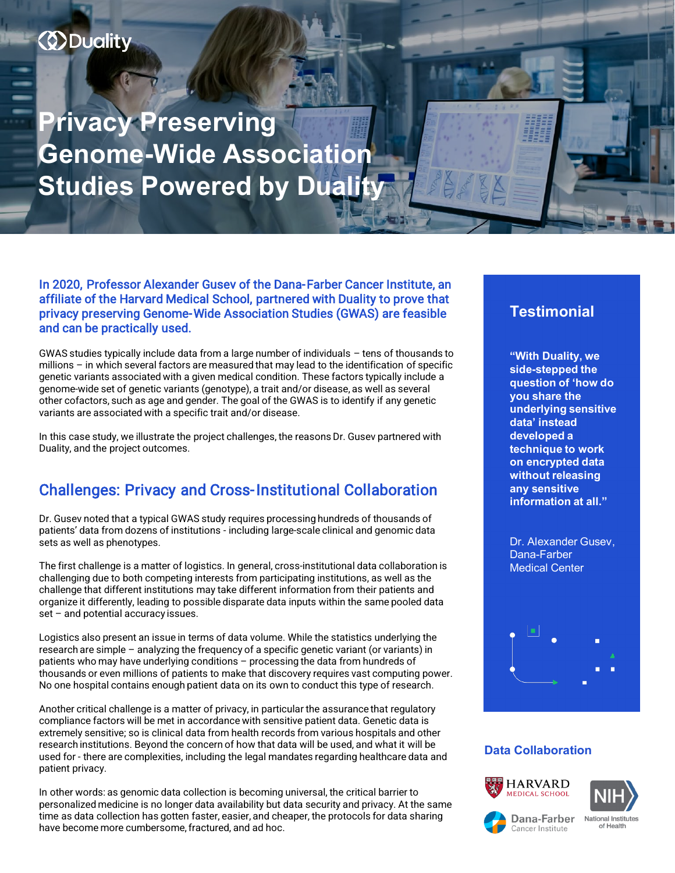# *<u>ODuality</u>*

**Privacy Preserving Genome-Wide Association Studies Powered by Duality**

In 2020, Professor Alexander Gusev of the Dana-Farber Cancer Institute, an affiliate of the Harvard Medical School, partnered with Duality to prove that privacy preserving Genome-Wide Association Studies (GWAS) are feasible and can be practically used.

GWAS studies typically include data from a large number of individuals – tens of thousands to millions – in which several factors are measured that may lead to the identification of specific genetic variants associated with a given medical condition. These factors typically include a genome-wide set of genetic variants (genotype), a trait and/or disease, as well as several other cofactors, such as age and gender. The goal of the GWAS is to identify if any genetic variants are associated with a specific trait and/or disease.

In this case study, we illustrate the project challenges, the reasons Dr. Gusev partnered with Duality, and the project outcomes.

### Challenges: Privacy and Cross-Institutional Collaboration

Dr. Gusev noted that a typical GWAS study requires processing hundreds of thousands of patients' data from dozens of institutions - including large-scale clinical and genomic data sets as well as phenotypes.

The first challenge is a matter of logistics. In general, cross-institutional data collaboration is challenging due to both competing interests from participating institutions, as well as the challenge that different institutions may take different information from their patients and organize it differently, leading to possible disparate data inputs within the same pooled data set – and potential accuracy issues.

Logistics also present an issue in terms of data volume. While the statistics underlying the research are simple – analyzing the frequency of a specific genetic variant (or variants) in patients who may have underlying conditions – processing the data from hundreds of thousands or even millions of patients to make that discovery requires vast computing power. No one hospital contains enough patient data on its own to conduct this type of research.

Another critical challenge is a matter of privacy, in particular the assurance that regulatory compliance factors will be met in accordance with sensitive patient data. Genetic data is extremely sensitive; so is clinical data from health records from various hospitals and other research institutions. Beyond the concern of how that data will be used, and what it will be used for - there are complexities, including the legal mandates regarding healthcare data and patient privacy.

In other words: as genomic data collection is becoming universal, the critical barrier to personalized medicine is no longer data availability but data security and privacy. At the same time as data collection has gotten faster, easier, and cheaper, the protocols for data sharing have become more cumbersome, fractured, and ad hoc.

### **Testimonial**

**"With Duality, we side-stepped the question of 'how do you share the underlying sensitive data' instead developed a technique to work on encrypted data without releasing any sensitive information at all."**

Dr. Alexander Gusev, Dana-Farber Medical Center



#### **Data Collaboration**







**National Institutes**